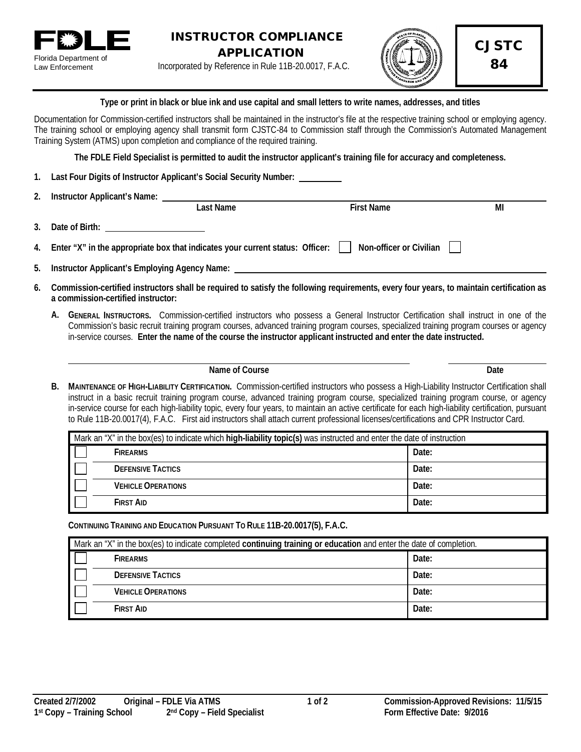



CJSTC 84

**Type or print in black or blue ink and use capital and small letters to write names, addresses, and titles**

Documentation for Commission-certified instructors shall be maintained in the instructor's file at the respective training school or employing agency. The training school or employing agency shall transmit form CJSTC-84 to Commission staff through the Commission's Automated Management Training System (ATMS) upon completion and compliance of the required training.

**The FDLE Field Specialist is permitted to audit the instructor applicant's training file for accuracy and completeness.**

**1. Last Four Digits of Instructor Applicant's Social Security Number:** 

| 2. | Instructor Applicant's Name: |  |
|----|------------------------------|--|
|    |                              |  |

|    |                                                                                  | Last Name | <b>First Name</b>       | МI |
|----|----------------------------------------------------------------------------------|-----------|-------------------------|----|
| 3. | Date of Birth:                                                                   |           |                         |    |
|    | 4. Enter "X" in the appropriate box that indicates your current status: Officer: |           | Non-officer or Civilian |    |
|    | 5. Instructor Applicant's Employing Agency Name:                                 |           |                         |    |

- **6. Commission-certified instructors shall be required to satisfy the following requirements, every four years, to maintain certification as a commission-certified instructor:**
	- **A. GENERAL INSTRUCTORS.** Commission-certified instructors who possess a General Instructor Certification shall instruct in one of the Commission's basic recruit training program courses, advanced training program courses, specialized training program courses or agency in-service courses. **Enter the name of the course the instructor applicant instructed and enter the date instructed.**

## **Name of Course Date**

**B. MAINTENANCE OF HIGH-LIABILITY CERTIFICATION.** Commission-certified instructors who possess a High-Liability Instructor Certification shall instruct in a basic recruit training program course, advanced training program course, specialized training program course, or agency in-service course for each high-liability topic, every four years, to maintain an active certificate for each high-liability certification, pursuant to Rule 11B-20.0017(4), F.A.C. First aid instructors shall attach current professional licenses/certifications and CPR Instructor Card.

| Mark an "X" in the box(es) to indicate which high-liability topic(s) was instructed and enter the date of instruction |                           |       |
|-----------------------------------------------------------------------------------------------------------------------|---------------------------|-------|
|                                                                                                                       | <b>FIREARMS</b>           | Date: |
|                                                                                                                       | <b>DEFENSIVE TACTICS</b>  | Date: |
|                                                                                                                       | <b>VEHICLE OPERATIONS</b> | Date: |
|                                                                                                                       | <b>FIRST AID</b>          | Date: |

**CONTINUING TRAINING AND EDUCATION PURSUANT TO RULE 11B-20.0017(5), F.A.C.**

| Mark an "X" in the box(es) to indicate completed continuing training or education and enter the date of completion. |                           |       |
|---------------------------------------------------------------------------------------------------------------------|---------------------------|-------|
|                                                                                                                     | <b>FIREARMS</b>           | Date: |
|                                                                                                                     | <b>DEFENSIVE TACTICS</b>  | Date: |
|                                                                                                                     | <b>VEHICLE OPERATIONS</b> | Date: |
|                                                                                                                     | <b>FIRST AID</b>          | Date: |